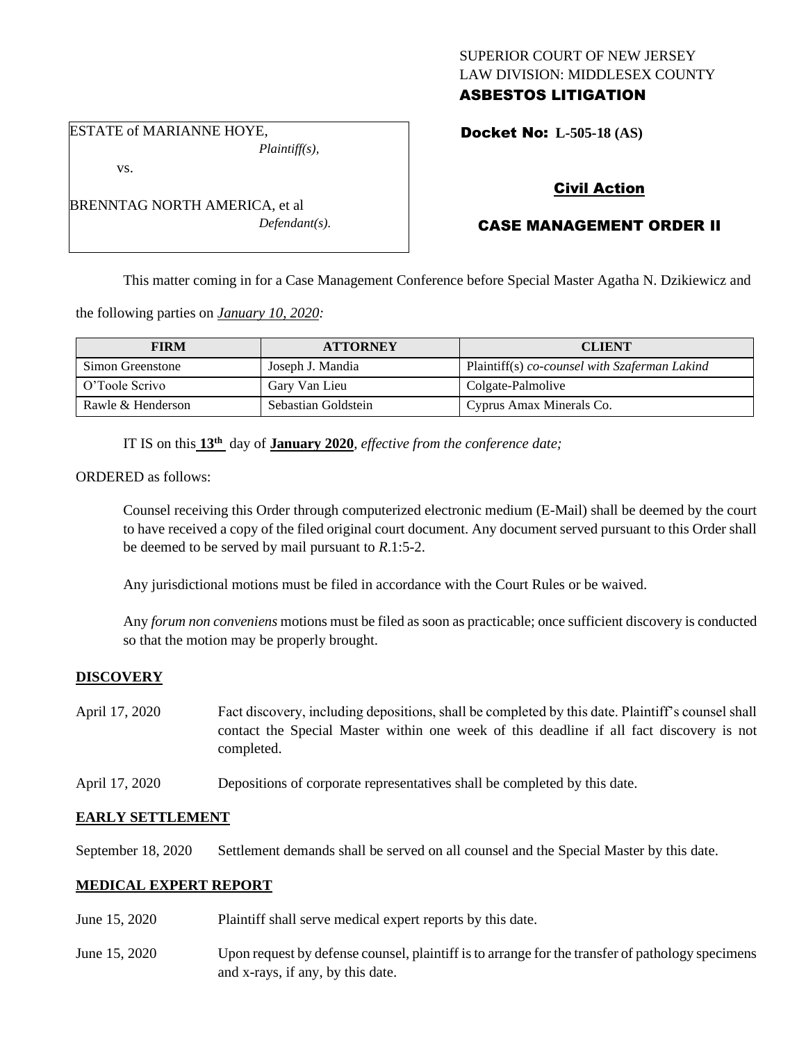# SUPERIOR COURT OF NEW JERSEY LAW DIVISION: MIDDLESEX COUNTY ASBESTOS LITIGATION

*Plaintiff(s),* Docket No: **L-505-18 (AS)** 

vs.

BRENNTAG NORTH AMERICA, et al *Defendant(s).*

ESTATE of MARIANNE HOYE,

# CASE MANAGEMENT ORDER II

Civil Action

This matter coming in for a Case Management Conference before Special Master Agatha N. Dzikiewicz and

the following parties on *January 10, 2020:*

| <b>FIRM</b>       | <b>ATTORNEY</b>     | <b>CLIENT</b>                                 |
|-------------------|---------------------|-----------------------------------------------|
| Simon Greenstone  | Joseph J. Mandia    | Plaintiff(s) co-counsel with Szaferman Lakind |
| O'Toole Scrivo    | Gary Van Lieu       | Colgate-Palmolive                             |
| Rawle & Henderson | Sebastian Goldstein | Cyprus Amax Minerals Co.                      |

IT IS on this  $13<sup>th</sup>$  day of **January 2020**, *effective from the conference date*;

ORDERED as follows:

Counsel receiving this Order through computerized electronic medium (E-Mail) shall be deemed by the court to have received a copy of the filed original court document. Any document served pursuant to this Order shall be deemed to be served by mail pursuant to *R*.1:5-2.

Any jurisdictional motions must be filed in accordance with the Court Rules or be waived.

Any *forum non conveniens* motions must be filed as soon as practicable; once sufficient discovery is conducted so that the motion may be properly brought.

# **DISCOVERY**

| April 17, 2020 | Fact discovery, including depositions, shall be completed by this date. Plaintiff's counsel shall |
|----------------|---------------------------------------------------------------------------------------------------|
|                | contact the Special Master within one week of this deadline if all fact discovery is not          |
|                | completed.                                                                                        |

April 17, 2020 Depositions of corporate representatives shall be completed by this date.

## **EARLY SETTLEMENT**

September 18, 2020 Settlement demands shall be served on all counsel and the Special Master by this date.

# **MEDICAL EXPERT REPORT**

- June 15, 2020 Plaintiff shall serve medical expert reports by this date.
- June 15, 2020 Upon request by defense counsel, plaintiff is to arrange for the transfer of pathology specimens and x-rays, if any, by this date.